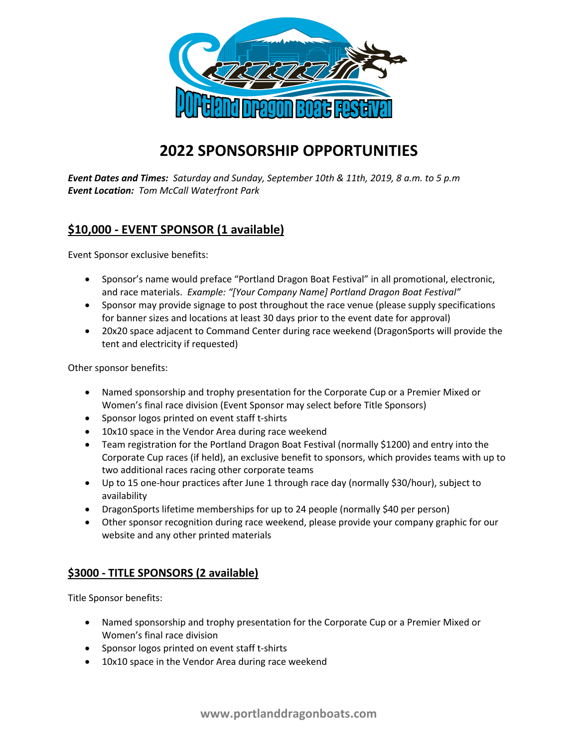

## **2022 SPONSORSHIP OPPORTUNITIES**

*Event Dates and Times: Saturday and Sunday, September 10th & 11th, 2019, 8 a.m. to 5 p.m Event Location: Tom McCall Waterfront Park*

## **\$10,000 - EVENT SPONSOR (1 available)**

Event Sponsor exclusive benefits:

- Sponsor's name would preface "Portland Dragon Boat Festival" in all promotional, electronic, and race materials. *Example: "[Your Company Name] Portland Dragon Boat Festival"*
- Sponsor may provide signage to post throughout the race venue (please supply specifications for banner sizes and locations at least 30 days prior to the event date for approval)
- 20x20 space adjacent to Command Center during race weekend (DragonSports will provide the tent and electricity if requested)

Other sponsor benefits:

- Named sponsorship and trophy presentation for the Corporate Cup or a Premier Mixed or Women's final race division (Event Sponsor may select before Title Sponsors)
- Sponsor logos printed on event staff t-shirts
- 10x10 space in the Vendor Area during race weekend
- Team registration for the Portland Dragon Boat Festival (normally \$1200) and entry into the Corporate Cup races (if held), an exclusive benefit to sponsors, which provides teams with up to two additional races racing other corporate teams
- Up to 15 one-hour practices after June 1 through race day (normally \$30/hour), subject to availability
- DragonSports lifetime memberships for up to 24 people (normally \$40 per person)
- Other sponsor recognition during race weekend, please provide your company graphic for our website and any other printed materials

## **\$3000 - TITLE SPONSORS (2 available)**

Title Sponsor benefits:

- Named sponsorship and trophy presentation for the Corporate Cup or a Premier Mixed or Women's final race division
- Sponsor logos printed on event staff t-shirts
- 10x10 space in the Vendor Area during race weekend